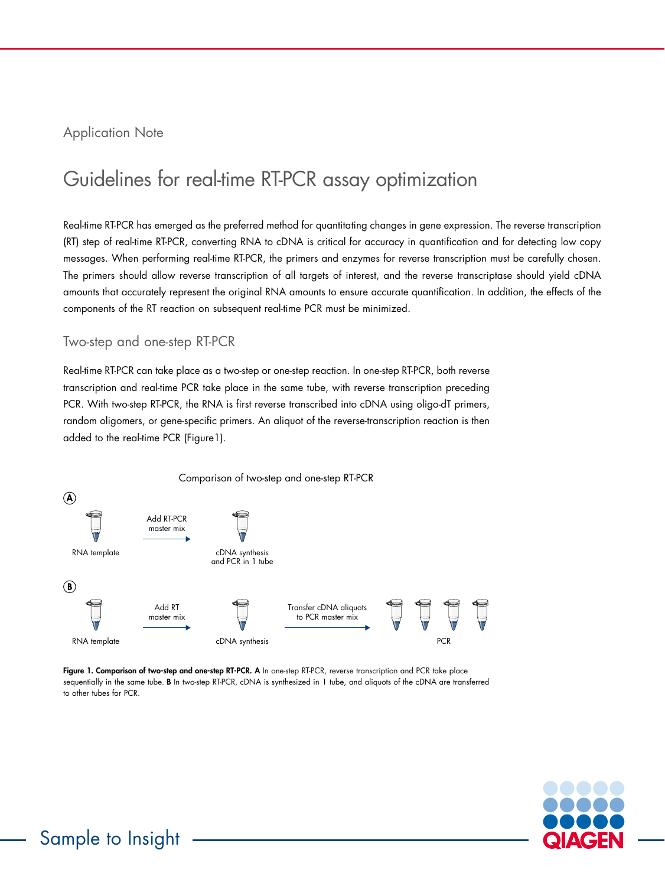# Application Note

# Guidelines for real-time RT-PCR assay optimization

Real-time RT-PCR has emerged as the preferred method for quantitating changes in gene expression. The reverse transcription (RT) step of real-time RT-PCR, converting RNA to cDNA is critical for accuracy in quantification and for detecting low copy messages. When performing real-time RT-PCR, the primers and enzymes for reverse transcription must be carefully chosen. The primers should allow reverse transcription of all targets of interest, and the reverse transcriptase should yield cDNA amounts that accurately represent the original RNA amounts to ensure accurate quantification. In addition, the effects of the components of the RT reaction on subsequent real-time PCR must be minimized.

# Two-step and one-step RT-PCR

Real-time RT-PCR can take place as a two-step or one-step reaction. In one-step RT-PCR, both reverse transcription and real-time PCR take place in the same tube, with reverse transcription preceding PCR. With two-step RT-PCR, the RNA is first reverse transcribed into cDNA using oligo-dT primers, random oligomers, or gene-specific primers. An aliquot of the reverse-transcription reaction is then added to the real-time PCR (Figure1).



Figure 1. Comparison of two-step and one-step RT-PCR. A In one-step RT-PCR, reverse transcription and PCR take place sequentially in the same tube. B In two-step RT-PCR, cDNA is synthesized in 1 tube, and aliquots of the cDNA are transferred to other tubes for PCR.

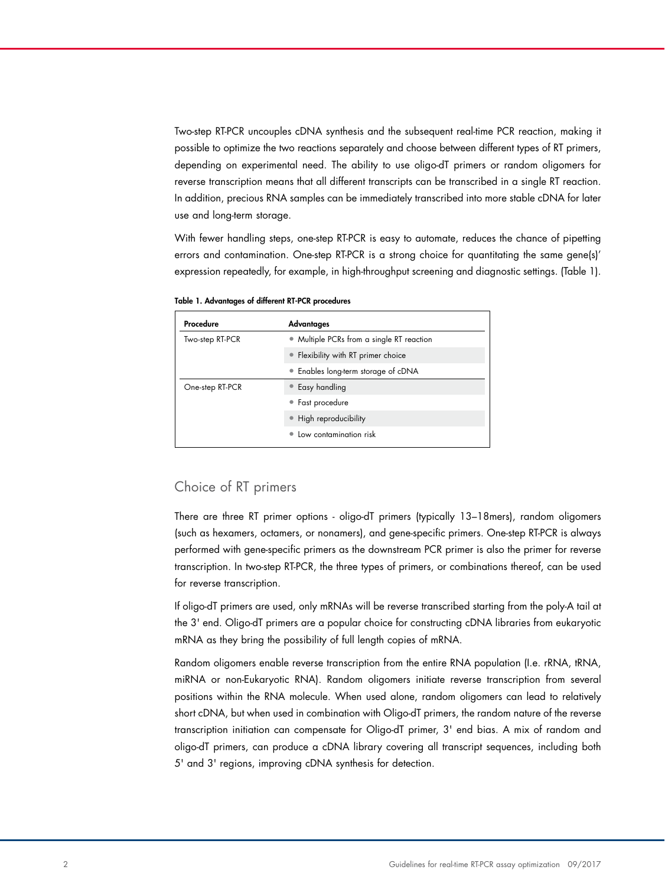Two-step RT-PCR uncouples cDNA synthesis and the subsequent real-time PCR reaction, making it possible to optimize the two reactions separately and choose between different types of RT primers, depending on experimental need. The ability to use oligo-dT primers or random oligomers for reverse transcription means that all different transcripts can be transcribed in a single RT reaction. In addition, precious RNA samples can be immediately transcribed into more stable cDNA for later use and long-term storage.

With fewer handling steps, one-step RT-PCR is easy to automate, reduces the chance of pipetting errors and contamination. One-step RT-PCR is a strong choice for quantitating the same gene(s)' expression repeatedly, for example, in high-throughput screening and diagnostic settings. (Table 1).

Table 1. Advantages of different RT-PCR procedures

| Procedure       | Advantages                                |  |
|-----------------|-------------------------------------------|--|
| Two-step RT-PCR | • Multiple PCRs from a single RT reaction |  |
|                 | • Flexibility with RT primer choice       |  |
|                 | • Enables long-term storage of cDNA       |  |
| One-step RT-PCR | • Easy handling                           |  |
|                 | • Fast procedure                          |  |
|                 | • High reproducibility                    |  |
|                 | • Low contamination risk                  |  |

## Choice of RT primers

There are three RT primer options - oligo-dT primers (typically 13–18mers), random oligomers (such as hexamers, octamers, or nonamers), and gene-specific primers. One-step RT-PCR is always performed with gene-specific primers as the downstream PCR primer is also the primer for reverse transcription. In two-step RT-PCR, the three types of primers, or combinations thereof, can be used for reverse transcription.

If oligo-dT primers are used, only mRNAs will be reverse transcribed starting from the poly-A tail at the 3' end. Oligo-dT primers are a popular choice for constructing cDNA libraries from eukaryotic mRNA as they bring the possibility of full length copies of mRNA.

Random oligomers enable reverse transcription from the entire RNA population (I.e. rRNA, tRNA, miRNA or non-Eukaryotic RNA). Random oligomers initiate reverse transcription from several positions within the RNA molecule. When used alone, random oligomers can lead to relatively short cDNA, but when used in combination with Oligo-dT primers, the random nature of the reverse transcription initiation can compensate for Oligo-dT primer, 3' end bias. A mix of random and oligo-dT primers, can produce a cDNA library covering all transcript sequences, including both 5' and 3' regions, improving cDNA synthesis for detection.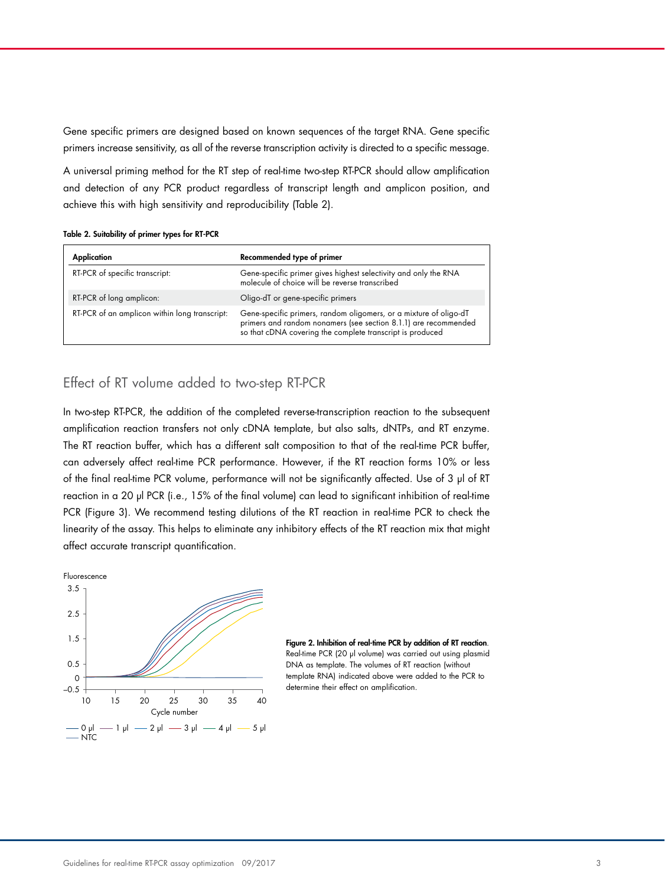Gene specific primers are designed based on known sequences of the target RNA. Gene specific primers increase sensitivity, as all of the reverse transcription activity is directed to a specific message.

A universal priming method for the RT step of real-time two-step RT-PCR should allow amplification and detection of any PCR product regardless of transcript length and amplicon position, and achieve this with high sensitivity and reproducibility (Table 2).

|  | Table 2. Suitability of primer types for RT-PCR |  |  |  |  |  |
|--|-------------------------------------------------|--|--|--|--|--|
|--|-------------------------------------------------|--|--|--|--|--|

| Application                                   | Recommended type of primer                                                                                                                                                                        |  |
|-----------------------------------------------|---------------------------------------------------------------------------------------------------------------------------------------------------------------------------------------------------|--|
| RT-PCR of specific transcript:                | Gene-specific primer gives highest selectivity and only the RNA<br>molecule of choice will be reverse transcribed                                                                                 |  |
| RT-PCR of long amplicon:                      | Oligo-dT or gene-specific primers                                                                                                                                                                 |  |
| RT-PCR of an amplicon within long transcript: | Gene-specific primers, random oligomers, or a mixture of oligo-dT<br>primers and random nonamers (see section 8.1.1) are recommended<br>so that cDNA covering the complete transcript is produced |  |

# Effect of RT volume added to two-step RT-PCR

In two-step RT-PCR, the addition of the completed reverse-transcription reaction to the subsequent amplification reaction transfers not only cDNA template, but also salts, dNTPs, and RT enzyme. The RT reaction buffer, which has a different salt composition to that of the real-time PCR buffer, can adversely affect real-time PCR performance. However, if the RT reaction forms 10% or less of the final real-time PCR volume, performance will not be significantly affected. Use of 3 µl of RT reaction in a 20 µl PCR (i.e., 15% of the final volume) can lead to significant inhibition of real-time PCR (Figure 3). We recommend testing dilutions of the RT reaction in real-time PCR to check the linearity of the assay. This helps to eliminate any inhibitory effects of the RT reaction mix that might affect accurate transcript quantification.



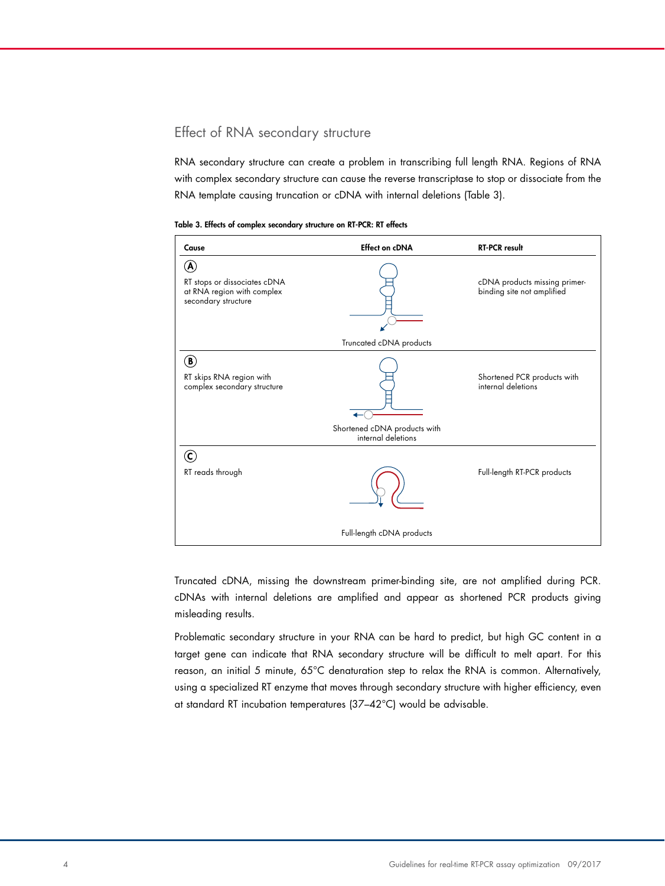# Effect of RNA secondary structure

RNA secondary structure can create a problem in transcribing full length RNA. Regions of RNA with complex secondary structure can cause the reverse transcriptase to stop or dissociate from the RNA template causing truncation or cDNA with internal deletions (Table 3).

| Cause                                                                                                           | <b>Effect on cDNA</b>                              | <b>RT-PCR result</b>                                        |  |  |  |
|-----------------------------------------------------------------------------------------------------------------|----------------------------------------------------|-------------------------------------------------------------|--|--|--|
| $\left[ \mathbf{A}\right]$<br>RT stops or dissociates cDNA<br>at RNA region with complex<br>secondary structure |                                                    | cDNA products missing primer-<br>binding site not amplified |  |  |  |
|                                                                                                                 | Truncated cDNA products                            |                                                             |  |  |  |
| ®)<br>RT skips RNA region with<br>complex secondary structure                                                   |                                                    | Shortened PCR products with<br>internal deletions           |  |  |  |
|                                                                                                                 | Shortened cDNA products with<br>internal deletions |                                                             |  |  |  |
| C)                                                                                                              |                                                    |                                                             |  |  |  |
| RT reads through                                                                                                |                                                    | Full-length RT-PCR products                                 |  |  |  |
| Full-length cDNA products                                                                                       |                                                    |                                                             |  |  |  |

Table 3. Effects of complex secondary structure on RT-PCR: RT effects

Truncated cDNA, missing the downstream primer-binding site, are not amplified during PCR. cDNAs with internal deletions are amplified and appear as shortened PCR products giving misleading results.

Problematic secondary structure in your RNA can be hard to predict, but high GC content in a target gene can indicate that RNA secondary structure will be difficult to melt apart. For this reason, an initial 5 minute, 65°C denaturation step to relax the RNA is common. Alternatively, using a specialized RT enzyme that moves through secondary structure with higher efficiency, even at standard RT incubation temperatures (37–42°C) would be advisable.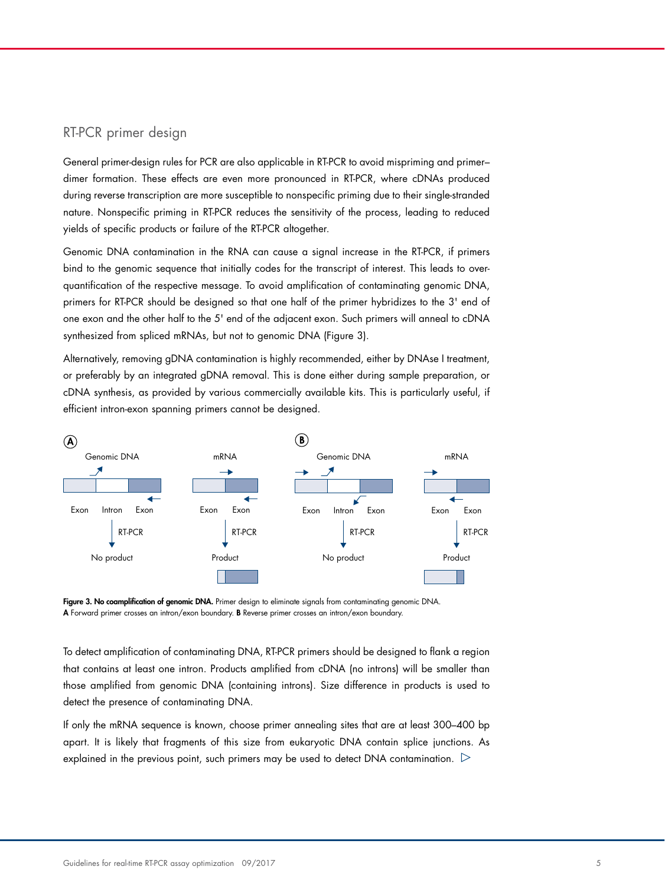### RT-PCR primer design

General primer-design rules for PCR are also applicable in RT-PCR to avoid mispriming and primer– dimer formation. These effects are even more pronounced in RT-PCR, where cDNAs produced during reverse transcription are more susceptible to nonspecific priming due to their single-stranded nature. Nonspecific priming in RT-PCR reduces the sensitivity of the process, leading to reduced yields of specific products or failure of the RT-PCR altogether.

Genomic DNA contamination in the RNA can cause a signal increase in the RT-PCR, if primers bind to the genomic sequence that initially codes for the transcript of interest. This leads to overquantification of the respective message. To avoid amplification of contaminating genomic DNA, primers for RT-PCR should be designed so that one half of the primer hybridizes to the 3' end of one exon and the other half to the 5' end of the adjacent exon. Such primers will anneal to cDNA synthesized from spliced mRNAs, but not to genomic DNA (Figure 3).  $\ddot{\phantom{1}}$ 

Alternatively, removing gDNA contamination is highly recommended, either by DNAse I treatment, or preferably by an integrated gDNA removal. This is done either during sample preparation, or cDNA synthesis, as provided by various commercially available kits. This is particularly useful, if efficient intron-exon spanning primers cannot be designed.



Figure 3. No coamplification of genomic DNA. Primer design to eliminate signals from contaminating genomic DNA. A Forward primer crosses an intron/exon boundary. B Reverse primer crosses an intron/exon boundary.

To detect amplification of contaminating DNA, RT-PCR primers should be designed to flank a region that contains at least one intron. Products amplified from cDNA (no introns) will be smaller than <u>.</u><br>those amplified from genomic DNA (containing introns). Size difference in products is used to detect the presence of contaminating DNA.

If only the mRNA sequence is known, choose primer annealing sites that are at least 300–400 bp apart. It is likely that fragments of this size from eukaryotic DNA contain splice junctions. As explained in the previous point, such primers may be used to detect DNA contamination.  $\triangleright$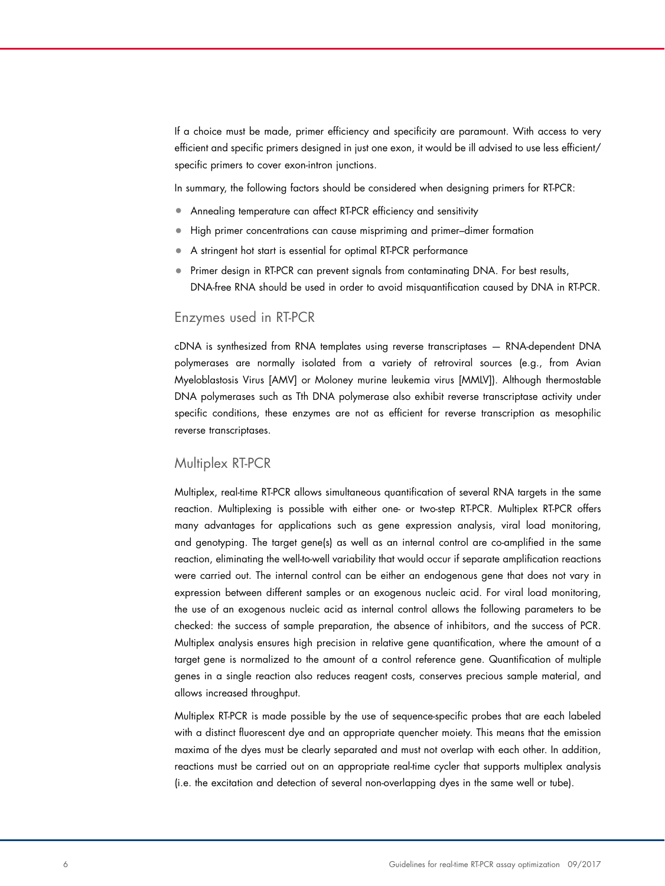If a choice must be made, primer efficiency and specificity are paramount. With access to very efficient and specific primers designed in just one exon, it would be ill advised to use less efficient/ specific primers to cover exon-intron junctions.

In summary, the following factors should be considered when designing primers for RT-PCR:

- Annealing temperature can affect RT-PCR efficiency and sensitivity
- High primer concentrations can cause mispriming and primer–dimer formation
- A stringent hot start is essential for optimal RT-PCR performance
- Primer design in RT-PCR can prevent signals from contaminating DNA. For best results, DNA-free RNA should be used in order to avoid misquantification caused by DNA in RT-PCR.

#### Enzymes used in RT-PCR

cDNA is synthesized from RNA templates using reverse transcriptases — RNA-dependent DNA polymerases are normally isolated from a variety of retroviral sources (e.g., from Avian Myeloblastosis Virus [AMV] or Moloney murine leukemia virus [MMLV]). Although thermostable DNA polymerases such as Tth DNA polymerase also exhibit reverse transcriptase activity under specific conditions, these enzymes are not as efficient for reverse transcription as mesophilic reverse transcriptases.

#### Multiplex RT-PCR

Multiplex, real-time RT-PCR allows simultaneous quantification of several RNA targets in the same reaction. Multiplexing is possible with either one- or two-step RT-PCR. Multiplex RT-PCR offers many advantages for applications such as gene expression analysis, viral load monitoring, and genotyping. The target gene(s) as well as an internal control are co-amplified in the same reaction, eliminating the well-to-well variability that would occur if separate amplification reactions were carried out. The internal control can be either an endogenous gene that does not vary in expression between different samples or an exogenous nucleic acid. For viral load monitoring, the use of an exogenous nucleic acid as internal control allows the following parameters to be checked: the success of sample preparation, the absence of inhibitors, and the success of PCR. Multiplex analysis ensures high precision in relative gene quantification, where the amount of a target gene is normalized to the amount of a control reference gene. Quantification of multiple genes in a single reaction also reduces reagent costs, conserves precious sample material, and allows increased throughput.

Multiplex RT-PCR is made possible by the use of sequence-specific probes that are each labeled with a distinct fluorescent dye and an appropriate quencher moiety. This means that the emission maxima of the dyes must be clearly separated and must not overlap with each other. In addition, reactions must be carried out on an appropriate real-time cycler that supports multiplex analysis (i.e. the excitation and detection of several non-overlapping dyes in the same well or tube).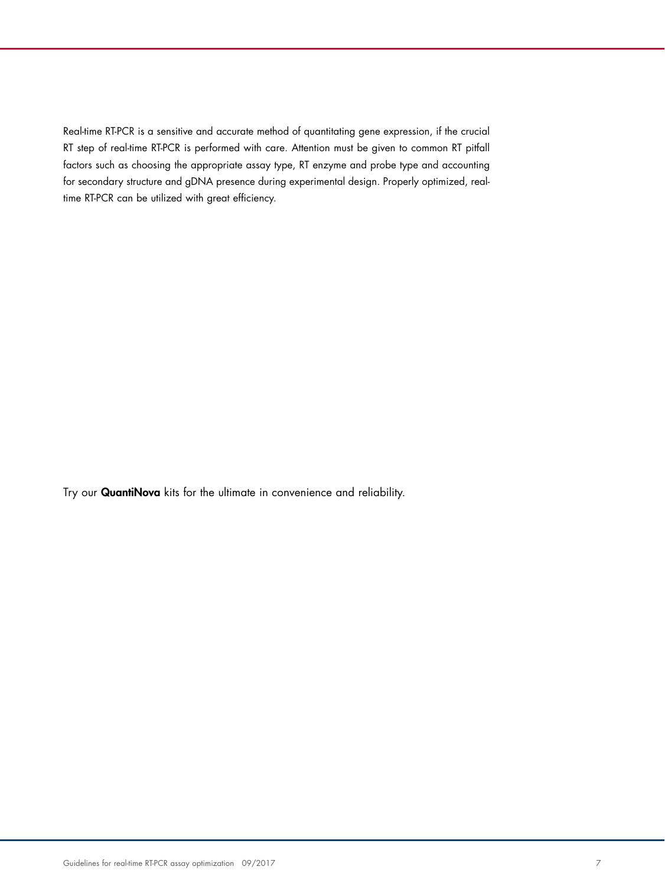Real-time RT-PCR is a sensitive and accurate method of quantitating gene expression, if the crucial RT step of real-time RT-PCR is performed with care. Attention must be given to common RT pitfall factors such as choosing the appropriate assay type, RT enzyme and probe type and accounting for secondary structure and gDNA presence during experimental design. Properly optimized, realtime RT-PCR can be utilized with great efficiency.

Try our [QuantiNova](https://www.qiagen.com/nl/landing-pages/quantinova/?cmpid=QVen8GAQuantiNova_brand&kwid=%2Bquantinova) kits for the ultimate in convenience and reliability.